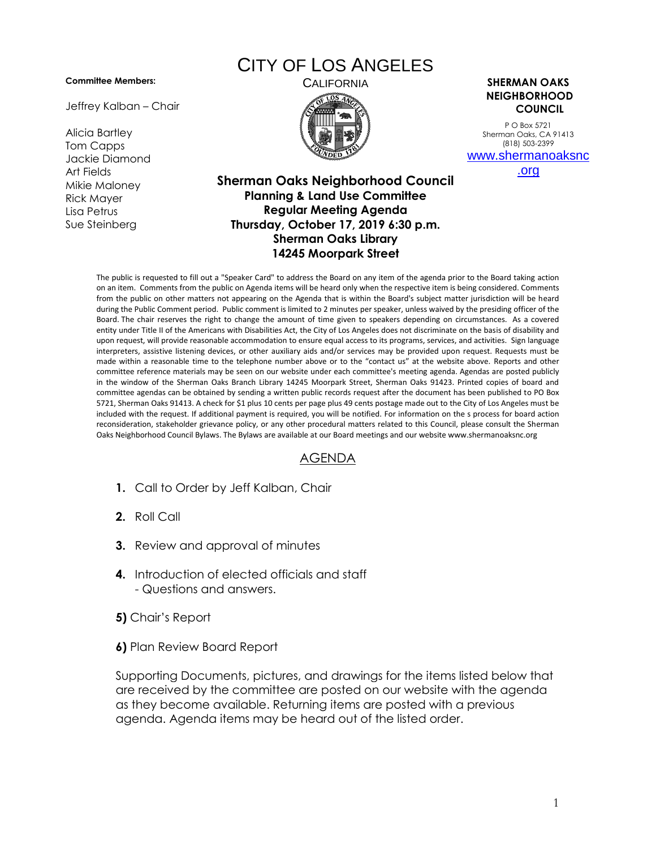## **Committee Members:**

Jeffrey Kalban – Chair

Alicia Bartley Tom Capps Jackie Diamond Art Fields Mikie Maloney Rick Mayer Lisa Petrus Sue Steinberg

## CITY OF LOS ANGELES



CALIFORNIA **SHERMAN OAKS NEIGHBORHOOD COUNCIL**

> P O Box 5721 Sherman Oaks, CA 91413 (818) 503-2399 [www.shermanoaksnc](http://www.shermanoaksnc.org/)

> > [.org](http://www.shermanoaksnc.org/)

## **Sherman Oaks Neighborhood Council Planning & Land Use Committee Regular Meeting Agenda Thursday, October 17, 2019 6:30 p.m. Sherman Oaks Library 14245 Moorpark Street**

The public is requested to fill out a "Speaker Card" to address the Board on any item of the agenda prior to the Board taking action on an item. Comments from the public on Agenda items will be heard only when the respective item is being considered. Comments from the public on other matters not appearing on the Agenda that is within the Board's subject matter jurisdiction will be heard during the Public Comment period. Public comment is limited to 2 minutes per speaker, unless waived by the presiding officer of the Board. The chair reserves the right to change the amount of time given to speakers depending on circumstances. As a covered entity under Title II of the Americans with Disabilities Act, the City of Los Angeles does not discriminate on the basis of disability and upon request, will provide reasonable accommodation to ensure equal access to its programs, services, and activities. Sign language interpreters, assistive listening devices, or other auxiliary aids and/or services may be provided upon request. Requests must be made within a reasonable time to the telephone number above or to the "contact us" at the website above. Reports and other committee reference materials may be seen on our website under each committee's meeting agenda. Agendas are posted publicly in the window of the Sherman Oaks Branch Library 14245 Moorpark Street, Sherman Oaks 91423. Printed copies of board and committee agendas can be obtained by sending a written public records request after the document has been published to PO Box 5721, Sherman Oaks 91413. A check for \$1 plus 10 cents per page plus 49 cents postage made out to the City of Los Angeles must be included with the request. If additional payment is required, you will be notified. For information on the s process for board action reconsideration, stakeholder grievance policy, or any other procedural matters related to this Council, please consult the Sherman Oaks Neighborhood Council Bylaws. The Bylaws are available at our Board meetings and our website www.shermanoaksnc.org

## AGENDA

- **1.** Call to Order by Jeff Kalban, Chair
- **2.** Roll Call
- **3.** Review and approval of minutes
- **4.** Introduction of elected officials and staff - Questions and answers.
- **5)** Chair's Report
- **6)** Plan Review Board Report

Supporting Documents, pictures, and drawings for the items listed below that are received by the committee are posted on our website with the agenda as they become available. Returning items are posted with a previous agenda. Agenda items may be heard out of the listed order.